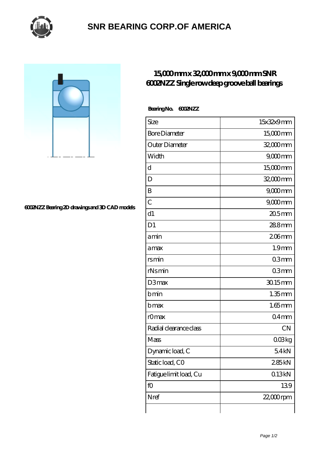

## **[SNR BEARING CORP.OF AMERICA](https://thebestofquebec.com)**

## **[6002NZZ Bearing 2D drawings and 3D CAD models](https://thebestofquebec.com/pic-64979052.html)**

## **[15,000 mm x 32,000 mm x 9,000 mm SNR](https://thebestofquebec.com/aI-64979052-snr-6002nzz-single-row-deep-groove-ball-bearings.html) [6002NZZ Single row deep groove ball bearings](https://thebestofquebec.com/aI-64979052-snr-6002nzz-single-row-deep-groove-ball-bearings.html)**

| Size                   | 15x32x9mm             |
|------------------------|-----------------------|
| <b>Bore Diameter</b>   | $15000$ mm            |
| Outer Diameter         | 32,000mm              |
| Width                  | $9000$ mm             |
| d                      | $15000$ <sub>mm</sub> |
| D                      | 32,000 mm             |
| B                      | $9000$ <sub>mm</sub>  |
| $\overline{C}$         | $9000$ <sub>mm</sub>  |
| d1                     | $205$ mm              |
| D <sub>1</sub>         | 288mm                 |
| amin                   | $206$ mm              |
| amax                   | 1.9 <sub>mm</sub>     |
| rsmin                  | 03mm                  |
| rNsmin                 | 03mm                  |
| D3max                  | $3015$ mm             |
| bmin                   | $1.35$ mm             |
| bmax                   | $1.65$ mm             |
| rOmax                  | 04 <sub>mm</sub>      |
| Radial clearance class | <b>CN</b>             |
| Mass                   | $0$ $O$ $\log$        |
| Dynamic load, C        | 54kN                  |
| Static load, CO        | 285kN                 |
| Fatigue limit load, Cu | 013kN                 |
| fO                     | 139                   |
| Nref                   | $22,000$ rpm          |